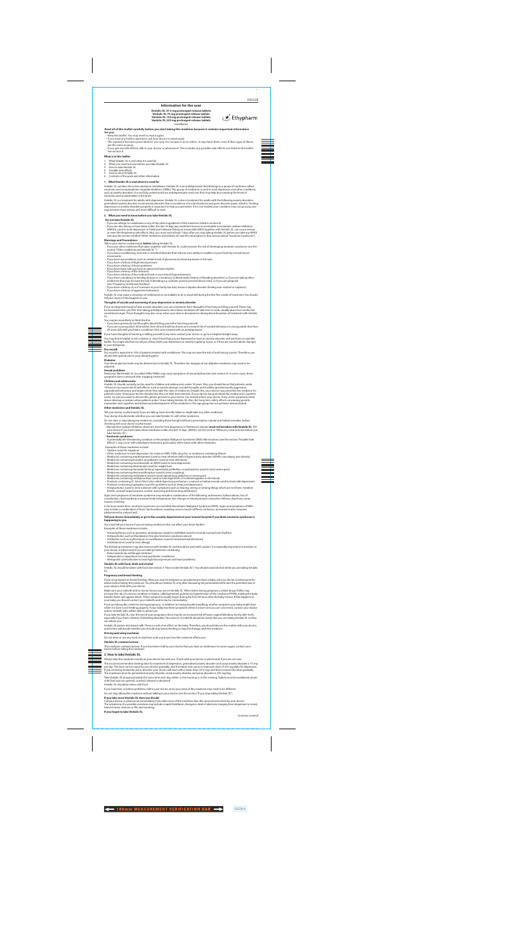4 100mm MEASUREMENT VERIFICATION BAR 50228-A

## **Read all of this leaflet carefully before you start taking this medicine because it contains important information for you.** • Keep this leaflet. You may need to read it again.

• If you have any further questions, ask your doctor or pharmacist. • This medicine has been prescribed for you only. Do not pass it on to others. It may harm them, even if their signs of illness are the same as yours. • If you get any side effects, talk to your doctor or pharmacist. This includes any possible side effects not listed in this leaflet.

**Information for the user**

 $\bullet$  Ethypharm

#### See section 4. **What is in this leaflet:**

**Venlalic XL 37.5 mg prolonged-release tablets Venlalic XL 75 mg prolonged-release tablets Venlalic XL 150 mg prolonged-release tablets Venlalic XL 225 mg prolonged-release tablets** venlafaxine

- 1. What Venlalic XL is and what it is used for
- 2. What you need to know before you take Venlalic XL
- How to take Venlalic XL
- Possible side effects
- 5. How to store Venlalic XL
- 6. Contents of the pack and other information

- If you are allergic to venlafaxine or any of the other ingredients of this medicine (listed in section 6).
- ∙ If you are also taking or have taken within the last 14 days any medicines known as irreversible monoamine oxidase inhibitors<br>(MAOIs), used to treat depression or Parkinson's disease. Taking an irreversible MAOI togethe

or even life-threatening side effects. Also, you must wait at least 7 days after you stop taking Venlalic XL before you take any MAOI<br>(see also the section entitled "Other medicines and Venlalic XL" and the information in

#### **1. What Venlalic XL is and what it is used for**

Venlalic XL contains the active substance venlafaxine. Venlalic XL is an antidepressant that belongs to a group of medicines called serotonin and norepinephrine reuptake inhibitors (SNRIs). This group of medicines is used to treat depression and other conditions,<br>such as anxiety disorders. It is not fully understood how antidepressants work, but they m serotonin and noradrenaline in the brain.

- Talk to your doctor or pharmacist **before** taking Venlalic XL:
- If you use other medicines that taken together with Venlalic XL could increase the risk of developing serotonin syndrome (see the section "Other medicines and Venlalic XL ").
- if you have a swallowing, stomach or intestinal disorder that reduces your ability to swallow or pass foods by normal bowel movements
- If you have eye problems, such as certain kinds of glaucoma (increased pressure in the eye). If you have a history of high blood pressure.
- 
- If you have a history of heart problems. If you have been told you have an abnormal heart rhythm.
- 
- If you have a history of fits (seizures). If you have a history of low sodium levels in your blood (hyponatraemia).
- If you have a tendency to develop bruises or a tendency to bleed easily (history of bleeding disorders) or if you are taking other<br>medicines that may increase the risk of bleeding e.g. warfarin (used to prevent blood clo
- (see "Pregnancy and breast-feeding"). If you have a history of, or if someone in your family has had, mania or bipolar disorder (feeling over-excited or euphoric). • If you have a history of aggressive behaviour

Venlalic XL is a treatment for adults with depression. Venlalic XL is also a treatment for adults with the following anxiety disorders: generalised anxiety disorder, social anxiety disorder (fear or avoidance of social situations) and panic disorder (panic attacks). Treating<br>depression or anxiety disorders properly is important to help you get better. If i may become more serious and more difficult to treat.

#### **2. What you need to know before you take Venlalic XL**

#### **Do not take Venlalic XL**

If you are depressed and/or have anxiety disorders, you can sometimes have thoughts of harming or killing yourself. These may<br>be increased when you first start taking antidepressants, since these medicines all take time to sometimes longer. These thoughts may also occur when your dose is decreased or during discontinuation of treatment with Venlalic XL.

### **Warnings and Precautions:**

Medicines like Venlalic XL (so called SSRIs/SNRIs) may cause symptoms of sexual dysfunction (see section 4). In some cases, these symptoms have continued and stopping stopping the

Venlalic XL should normally not be used for children and adolescents under 18 years. Also, you should know that patients under 18 have an increased risk of side effects, such as suicide attempt, suicidal thoughts and hostility (predominantly aggression,<br>oppositional behaviour and anger) when they take this class of medicines. Despite this, your do patients under 18 because he/she decides that this is in their best interests. If your doctor has prescribed this medicine for a patient<br>under 18, and you want to discuss this, please go back to your doctor. You should inf above develop or worsen when patients under 18 are taking Venlalic XL. Also, the long-term safety effects concerning growth,<br>maturation and cognitive and behavioural development of this medicine in this age group has not y

Venlalic XL may cause a sensation of restlessness or an inability to sit or stand still during the first few weeks of treatment. You should tell your doctor if this happens to you.

#### **Thoughts of suicide and worsening of your depression or anxiety disorder**

• Antipsychotics (used to treat a disease with symptoms such as hearing, seeing or sensing things which are not there, mistaken beliefs, unusual suspiciousness, unclear reasoning and becoming withdraw

You may be more likely to think like this:

• If you have previously had thoughts about killing yourself or harming yourself.

• If you are a young adult. Information from clinical trials has shown an increased risk of suicidal behaviour in young adults (less than 25 years old) with psychiatric conditions who were treated with an antidepressant.

If you have thoughts of harming or killing yourself at any time, contact your doctor or go to a hospital straight away.

You may find it helpful to tell a relative or close friend that you are depressed or have an anxiety disorder, and ask them to read this leaflet. You might ask them to tell you if they think your depression or anxiety is getting worse, or if they are worried about changes in your behaviour.

# **Dry mouth**

Dry mouth is reported in 10% of patients treated with venlafaxine. This may increase the risk of tooth decay (caries). Therefore, you should take special care in your dental hygiene. **Diabetes**

If you are pregnant or breast-feeding, think you may be pregnant or are planning to have a baby, ask your doctor or pharmacist for<br>advice before taking this medicine. You should use Venlalic XL only after discussing the po your unborn child with your doctor.

Your blood glucose levels may be altered due to Venlalic XL. Therefore, the dosages of our diabetes medicines may need to be adjusted.

#### **Sexual problems**

Make sure your midwife and/or doctor knows you are on Venlalic XL. When taken during pregnancy, similar drugs (SSRIs) may<br>increase the risk of a serious condition in babies, called persistent pulmonary hypertension of the breathe faster and appear bluish. These symptoms usually begin during the first 24 hours after the baby is born. If this happens to your baby you should contact your midwife and/or doctor immediately.

## **Children and adolescents**

If you are taking this medicine during pregnancy, in addition to having trouble breathing, another symptom your baby might have<br>when it is born is not feeding properly. If your baby has these symptoms when it is born and y and/or midwife who will be able to advise you.

#### **Other medicines and Venlalic XL**

Tell your doctor or pharmacist if you are taking, have recently taken or might take any other medicines.

Your doctor should decide whether you can take Venlalic XL with other medicines.

Call your doctor or pharmacist immediately if you take more of this medicine than the amount prescribed by your doctor.<br>The symptoms of a possible overdose may include a rapid heartbeat, changes in level of alertness (rang blurred vision, seizures or fits, and vomiting.

Do not start or stop taking any medicines, including those bought without a prescription, natural and herbal remedies, before checking with your doctor or pharmacist.

• Monoamine oxidase inhibitors which are used to treat depression or Parkinson's disease **must not be taken with Venlalic XL**. Tell your doctor if you have taken these medicines within the last 14 days. (MAOIs: see the section "What you need to know before you take Venlalic XL").

#### • **Serotonin syndrome:**

A potentially life-threatening condition or Neuroleptic Malignant Syndrome (NMS)-like reactions (see the section "Possible Side Effects"), may occur with venlafaxine treatment, particularly when taken with other medicines.

Examples of these medicines include:

• Triptans (used for migraine)

• Other medicines to treat depression, for instance SNRI, SSRIs, tricyclics, or medicines containing lithium

• Medicines containing amphetamines (used to treat attention deficit hyperactivity disorder (ADHD), narcolepsy and obesity) • Medicines containing linezolid, an antibiotic (used to treat infections)

• Medicines containing moclobemide, an MAOI (used to treat depression)

• Medicines containing sibutramine (used for weight loss)

• Medicines containing tramadol, fentanyl, tapentadol, pethidine, or pentazocine (used to treat severe pain)

• Medicines containing dextromethorphan (used to treat coughing)

• Medicines containing methadone (used to treat opioid drug addiction or severe pain) • Medicines containing methylene blue (used to treat high levels of methaemoglobin in the blood)

• Products containing St. John's Wort (also called *Hypericum perforatum*, a natural or herbal remedy used to treat mild depression) • Products containing tryptophan (used for problems such as sleep and depression)

Signs and symptoms of serotonin syndrome may include a combination of the following: restlessness, hallucinations, loss of coordination, fast heartbeat, increased body temperature, fast changes in blood pressure, overactive reflexes, diarrhoea, coma, nausea, vomiting.

In its most severe form, serotonin syndrome can resemble Neuroleptic Malignant Syndrome (NMS). Signs and symptoms of NMS may include a combination of fever, fast heartbeat, sweating, severe muscle stiffness, confusion, increased muscle enzymes (determined by a blood test).

#### **Tell your doctor immediately or go to the casualty department at your nearest hospital if you think serotonin syndrome is happening to you.**

You must tell your doctor if you are taking medicines that can affect your heart rhythm.

Examples of these medicines include:

• Antiarrhythmics such as quinidine, amiodarone, sotalol or dofetilide (used to treat ab-normal heart rhythm)

• Antipsychotics such as thioridazine (See also Serotonin syndrome above) • Antibiotics such as erythromycin or moxifloxacin (used to treat bacterial infections)

• Antihistamines (used to treat allergy)

The following medicines may also interact with Venlalic XL and should be used with caution. It is especially important to mention to your doctor or pharmacist if you are taking medicines containing: • Ketoconazole (an antifungal medicine)

• Haloperidol or risperidone (to treat psychiatric conditions) • Metoprolol (a beta blocker to treat high blood pressure and heart problems)

#### **Venlalic XL with food, drink and alcohol**

Venlalic XL should be taken with food (see section 3 "How to take Venlalic XL"). You should avoid alcohol while you are taking Venlalic XL.

#### **Pregnancy and breast-feeding**

If you take Venlalic XL near the end of your pregnancy there may be an increased risk of heavy vaginal bleeding shortly after birth, especially if you have a history of bleeding disorders. Your doctor or midwife should be aware that you are taking Venlalic XL so they can advise you.

Venlalic XL passes into breast milk. There is a risk of an effect on the baby. Therefore, you should discuss the matter with your doctor,<br>and he/she will decide whether you should stop breast-feeding or stop the therapy wi

#### **Driving and using machines**

Do not drive or use any tools or machines until you know how this medicine affects you.

## **Venlalic XL contains lactose**

This medicine contains lactose. If you have been told by your doctor that you have an intolerance to some sugars, contact your doctor before taking this medicine.

#### **3. How to take Venlalic XL**

Always take this medicine exactly as your doctor has told you. Check with your doctor or pharmacist if you are not sure.

The usual recommended starting dose for treatment of depression, generalised anxiety disorder and social anxiety disorder is 75 mg<br>per day. The dose can be raised by your doctor gradually, and if needed, even up to a maxim If you are being treated for panic disorder, your doctor will start with a lower dose (37.5 mg) and then increase the dose gradually.<br>The maximum dose for generalised anxiety disorder, social anxiety disorder and panic dis

Take Venlalic XL at approximately the same time each day, either in the morning or in the evening. Tablets must be swallowed whole with fluid and not opened, crushed, chewed or dissolved.

Venlalic XL should be taken with food.

If you have liver or kidney problems, talk to your doctor, since your dose of this medicine may need to be different.

Do not stop taking this medicine without talking to your doctor (see the section "If you stop taking Venlalic XL").

## **If you take more Venlalic XL than you should**

**If you forget to take Venlalic XL**

*Continue overleaf*

D50228